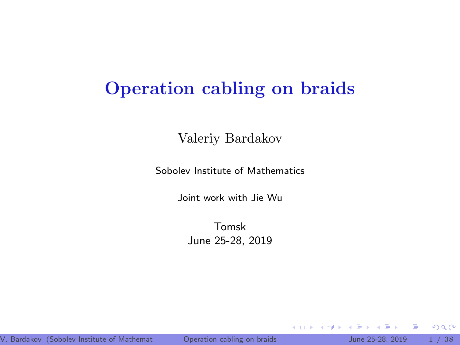# Operation cabling on braids

Valeriy Bardakov

Sobolev Institute of Mathematics

Joint work with Jie Wu

Tomsk June 25-28, 2019

Þ

<span id="page-0-0"></span> $2Q$ 

Þ

4 0 8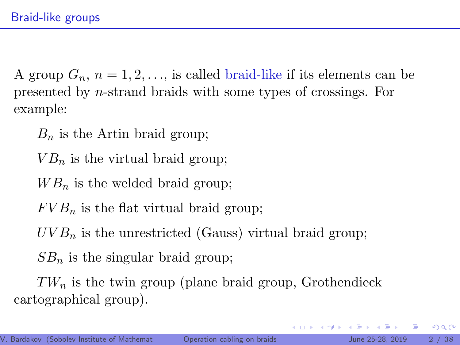A group  $G_n$ ,  $n = 1, 2, \ldots$ , is called braid-like if its elements can be presented by n-strand braids with some types of crossings. For example:

 $B_n$  is the Artin braid group;

 $VB<sub>n</sub>$  is the virtual braid group:

- $WB_n$  is the welded braid group;
- $FVB_n$  is the flat virtual braid group;

 $UVB_n$  is the unrestricted (Gauss) virtual braid group;

 $SB_n$  is the singular braid group;

 $TW_n$  is the twin group (plane braid group, Grothendieck cartographical group).

 $2Q$ 

きょうきょ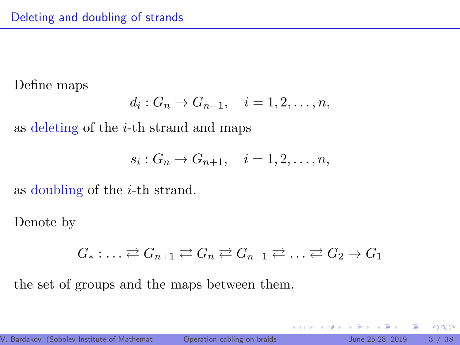Define maps

$$
d_i: G_n \to G_{n-1}, \quad i=1,2,\ldots,n,
$$

as deleting of the i-th strand and maps

$$
s_i: G_n \to G_{n+1}, \quad i=1,2,\ldots,n,
$$

as doubling of the i-th strand.

Denote by

$$
G_* : \ldots \rightleftarrows G_{n+1} \rightleftarrows G_n \rightleftarrows G_{n-1} \rightleftarrows \ldots \rightleftarrows G_2 \rightarrow G_1
$$

the set of groups and the maps between them.

4 0 8

 $2Q$ 

E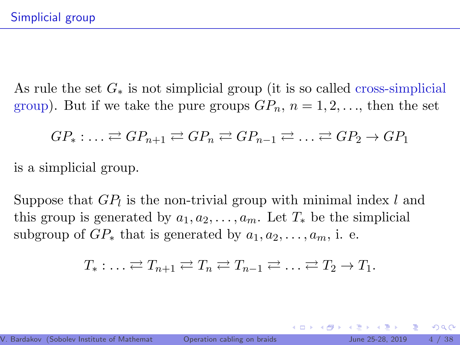As rule the set  $G_*$  is not simplicial group (it is so called cross-simplicial group). But if we take the pure groups  $GP_n$ ,  $n = 1, 2, \ldots$ , then the set

$$
GP_* : \ldots \rightleftharpoons GP_{n+1} \rightleftharpoons GP_n \rightleftharpoons GP_{n-1} \rightleftharpoons \ldots \rightleftharpoons GP_2 \rightarrow GP_1
$$

is a simplicial group.

Suppose that  $GP_l$  is the non-trivial group with minimal index l and this group is generated by  $a_1, a_2, \ldots, a_m$ . Let  $T_*$  be the simplicial subgroup of  $GP_*$  that is generated by  $a_1, a_2, \ldots, a_m$ , i. e.

$$
T_* : \ldots \rightleftarrows T_{n+1} \rightleftarrows T_n \rightleftarrows T_{n-1} \rightleftarrows \ldots \rightleftarrows T_2 \to T_1.
$$

 $QQ$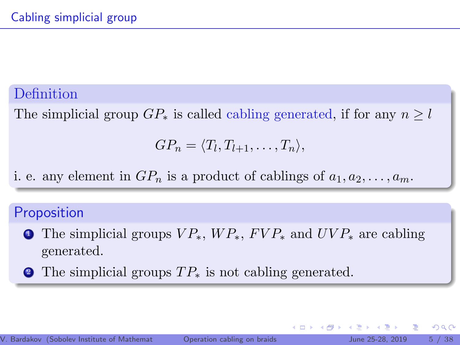# Definition

The simplicial group  $GP_*$  is called cabling generated, if for any  $n \geq l$ 

$$
GP_n = \langle T_l, T_{l+1}, \ldots, T_n \rangle,
$$

i. e. any element in  $GP_n$  is a product of cablings of  $a_1, a_2, \ldots, a_m$ .

### **Proposition**

- **1** The simplicial groups  $VP_*$ ,  $WP_*$ ,  $FVP_*$  and  $UVP_*$  are cabling generated.
- The simplicial groups  $TP_*$  is not cabling generated.

4 0 8

 $QQ$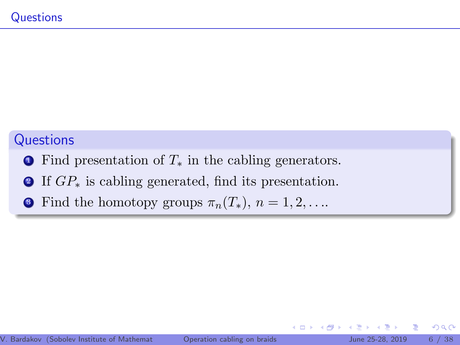## **Questions**

- $\bullet$  Find presentation of  $T_*$  in the cabling generators.
- <sup>2</sup> If GP<sup>∗</sup> is cabling generated, find its presentation.
- **3** Find the homotopy groups  $\pi_n(T_*)$ ,  $n = 1, 2, \ldots$

4 0 8

Þ

∍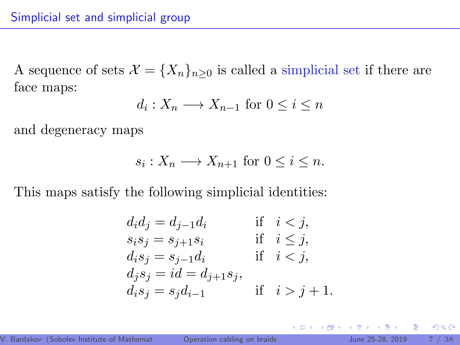A sequence of sets  $\mathcal{X} = \{X_n\}_{n\geq 0}$  is called a simplicial set if there are face maps:

$$
d_i: X_n \longrightarrow X_{n-1} \text{ for } 0 \le i \le n
$$

and degeneracy maps

$$
s_i: X_n \longrightarrow X_{n+1} \text{ for } 0 \le i \le n.
$$

This maps satisfy the following simplicial identities:

$$
d_i d_j = d_{j-1} d_i
$$
 if  $i < j$ ,  
\n
$$
s_i s_j = s_{j+1} s_i
$$
 if  $i \le j$ ,  
\n
$$
d_i s_j = s_{j-1} d_i
$$
 if  $i < j$ ,  
\n
$$
d_j s_j = id = d_{j+1} s_j
$$
,  
\n
$$
d_i s_j = s_j d_{i-1}
$$
 if  $i > j + 1$ .

4 0 8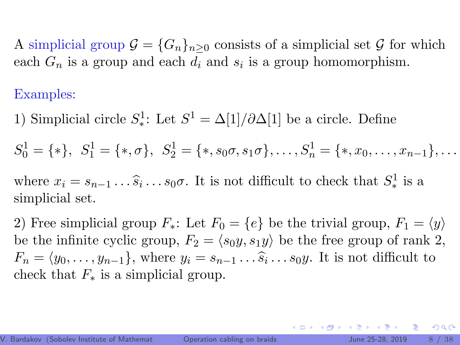A simplicial group  $\mathcal{G} = \{G_n\}_{n\geq 0}$  consists of a simplicial set  $\mathcal G$  for which each  $G_n$  is a group and each  $d_i$  and  $s_i$  is a group homomorphism.

### Examples:

1) Simplicial circle  $S^1$ : Let  $S^1 = \Delta[1]/\partial \Delta[1]$  be a circle. Define

$$
S_0^1 = \{ * \}, S_1^1 = \{ * , \sigma \}, S_2^1 = \{ * , s_0 \sigma, s_1 \sigma \}, \ldots, S_n^1 = \{ * , x_0, \ldots, x_{n-1} \}, \ldots
$$

where  $x_i = s_{n-1} \dots \hat{s}_i \dots s_0 \sigma$ . It is not difficult to check that  $S^1_*$  is a simplicial set simplicial set.

2) Free simplicial group  $F_*$ : Let  $F_0 = \{e\}$  be the trivial group,  $F_1 = \langle y \rangle$ be the infinite cyclic group,  $F_2 = \langle s_0y, s_1y \rangle$  be the free group of rank 2,  $F_n = \langle y_0, \ldots, y_{n-1} \rangle$ , where  $y_i = s_{n-1} \ldots \hat{s}_i \ldots s_0 y$ . It is not difficult to shock that  $F$  is a simplicial group. check that  $F_*$  is a simplicial group.

 $\Omega$ 

4 O F 4 O F 4 D F 4 D F 5 D F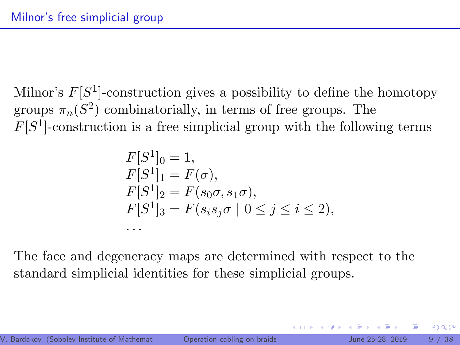Milnor's  $F[S^1]$ -construction gives a possibility to define the homotopy groups  $\pi_n(S^2)$  combinatorially, in terms of free groups. The  $F[S<sup>1</sup>]$ -construction is a free simplicial group with the following terms

$$
F[S^1]_0 = 1,
$$
  
\n
$$
F[S^1]_1 = F(\sigma),
$$
  
\n
$$
F[S^1]_2 = F(s_0\sigma, s_1\sigma),
$$
  
\n
$$
F[S^1]_3 = F(s_is_j\sigma \mid 0 \le j \le i \le 2),
$$
  
\n...

The face and degeneracy maps are determined with respect to the standard simplicial identities for these simplicial groups.

 $QQ$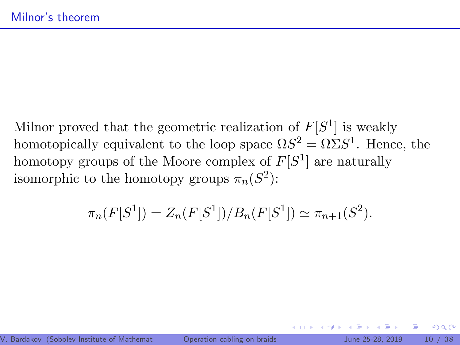Milnor proved that the geometric realization of  $F[S^1]$  is weakly homotopically equivalent to the loop space  $\Omega S^2 = \Omega \Sigma S^1$ . Hence, the homotopy groups of the Moore complex of  $F[S^1]$  are naturally isomorphic to the homotopy groups  $\pi_n(S^2)$ :

$$
\pi_n(F[S^1]) = Z_n(F[S^1])/B_n(F[S^1]) \simeq \pi_{n+1}(S^2).
$$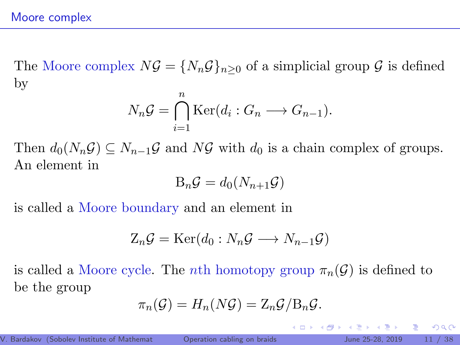The Moore complex  $N\mathcal{G} = \{N_n\mathcal{G}\}_n>0$  of a simplicial group  $\mathcal{G}$  is defined by

$$
N_n \mathcal{G} = \bigcap_{i=1}^n \text{Ker}(d_i : G_n \longrightarrow G_{n-1}).
$$

Then  $d_0(N_n\mathcal{G}) \subseteq N_{n-1}\mathcal{G}$  and  $N\mathcal{G}$  with  $d_0$  is a chain complex of groups. An element in

$$
\mathrm{B}_n \mathcal{G} = d_0(N_{n+1} \mathcal{G})
$$

is called a Moore boundary and an element in

$$
Z_n\mathcal{G}=\text{Ker}(d_0:N_n\mathcal{G}\longrightarrow N_{n-1}\mathcal{G})
$$

is called a Moore cycle. The *n*th homotopy group  $\pi_n(\mathcal{G})$  is defined to be the group

$$
\pi_n(\mathcal{G}) = H_n(N\mathcal{G}) = \mathbb{Z}_n \mathcal{G} / \mathbb{B}_n \mathcal{G}.
$$

 $2QQ$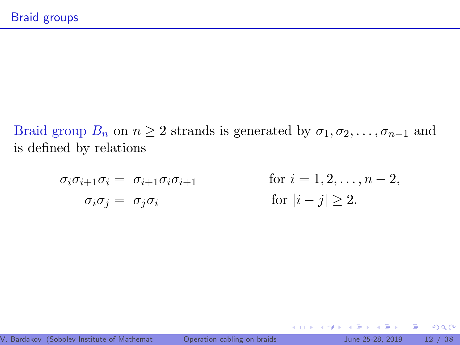Braid group  $B_n$  on  $n \geq 2$  strands is generated by  $\sigma_1, \sigma_2, \ldots, \sigma_{n-1}$  and is defined by relations

$$
\sigma_i \sigma_{i+1} \sigma_i = \sigma_{i+1} \sigma_i \sigma_{i+1} \qquad \text{for } i = 1, 2, \dots, n-2,
$$
  
\n
$$
\sigma_i \sigma_j = \sigma_j \sigma_i \qquad \text{for } |i-j| \ge 2.
$$

**K ロ ▶ K 倒 ▶** 

Þк 重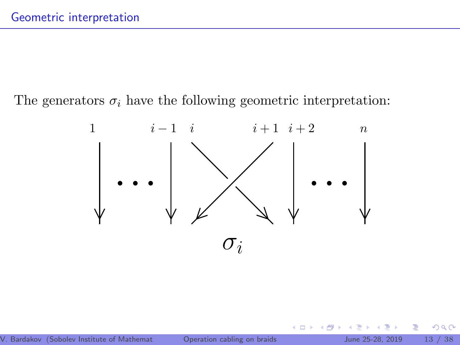The generators  $\sigma_i$  have the following geometric interpretation:



4 0 8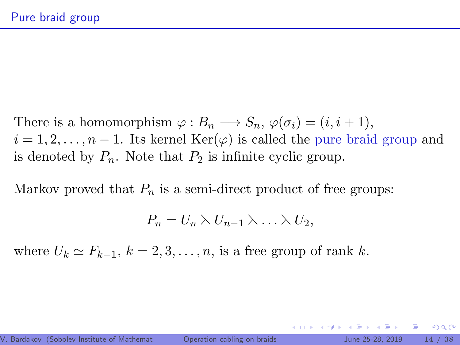There is a homomorphism  $\varphi : B_n \longrightarrow S_n$ ,  $\varphi(\sigma_i) = (i, i + 1)$ ,  $i = 1, 2, \ldots, n - 1$ . Its kernel Ker( $\varphi$ ) is called the pure braid group and is denoted by  $P_n$ . Note that  $P_2$  is infinite cyclic group.

Markov proved that  $P_n$  is a semi-direct product of free groups:

$$
P_n = U_n \,\lambda\, U_{n-1} \,\lambda \ldots \lambda \, U_2,
$$

where  $U_k \simeq F_{k-1}, k = 2, 3, \ldots, n$ , is a free group of rank k.

 $\Omega$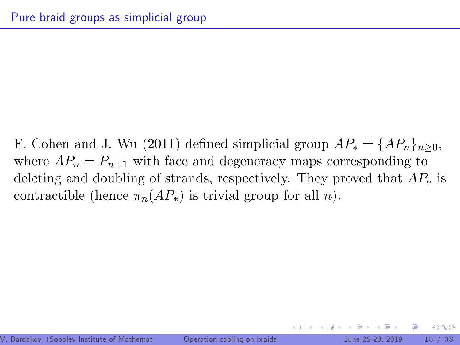F. Cohen and J. Wu (2011) defined simplicial group  $AP_* = \{AP_n\}_{n\geq 0}$ , where  $AP_n = P_{n+1}$  with face and degeneracy maps corresponding to deleting and doubling of strands, respectively. They proved that  $AP_*$  is contractible (hence  $\pi_n(AP_*)$ ) is trivial group for all n).

 $\Omega$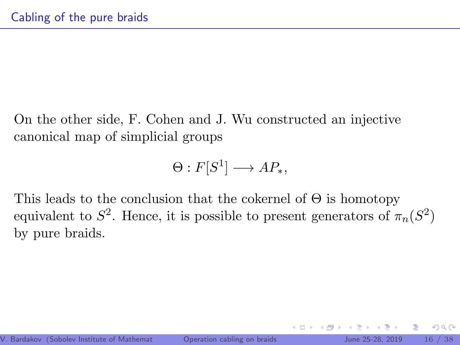On the other side, F. Cohen and J. Wu constructed an injective canonical map of simplicial groups

$$
\Theta: F[S^1] \longrightarrow AP_*,
$$

This leads to the conclusion that the cokernel of  $\Theta$  is homotopy equivalent to  $S^2$ . Hence, it is possible to present generators of  $\pi_n(S^2)$ by pure braids.

 $QQ$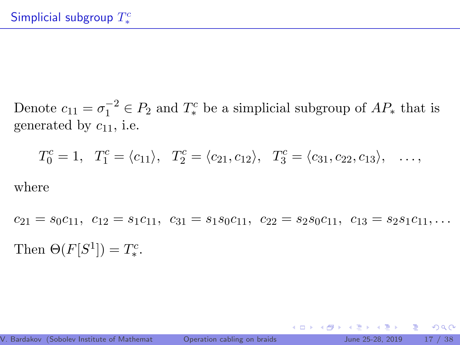Denote  $c_{11} = \sigma_1^{-2} \in P_2$  and  $T_*^c$  be a simplicial subgroup of  $AP_*$  that is generated by  $c_{11}$ , i.e.

$$
T_0^c = 1
$$
,  $T_1^c = \langle c_{11} \rangle$ ,  $T_2^c = \langle c_{21}, c_{12} \rangle$ ,  $T_3^c = \langle c_{31}, c_{22}, c_{13} \rangle$ , ...,

where

 $c_{21} = s_0c_{11}, c_{12} = s_1c_{11}, c_{31} = s_1s_0c_{11}, c_{22} = s_2s_0c_{11}, c_{13} = s_2s_1c_{11}, \ldots$ Then  $\Theta(F[S^1]) = T^c_*$ .

4 ロ ト 4 何 ト 4 ヨ ト ィヨ ト ニヨー ト つ Q (^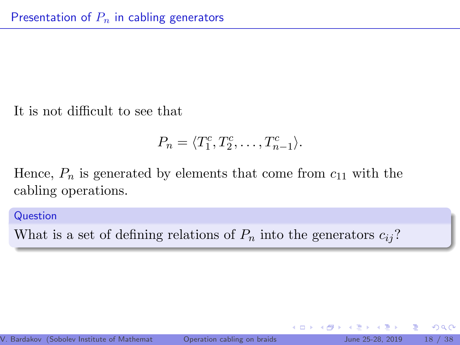It is not difficult to see that

$$
P_n = \langle T_1^c, T_2^c, \dots, T_{n-1}^c \rangle.
$$

4 0 8

Hence,  $P_n$  is generated by elements that come from  $c_{11}$  with the cabling operations.

Question

What is a set of defining relations of  $P_n$  into the generators  $c_{ii}$ ?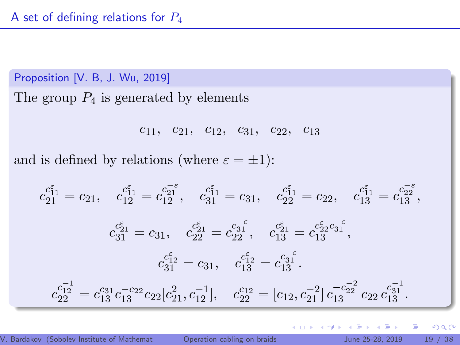Proposition [V. B, J. Wu, 2019] The group  $P_4$  is generated by elements

$$
c_{11}, c_{21}, c_{12}, c_{31}, c_{22}, c_{13}
$$

and is defined by relations (where  $\varepsilon = \pm 1$ ):

$$
c_{21}^{c_{11}^{\epsilon}} = c_{21}, \quad c_{12}^{c_{11}^{\epsilon}} = c_{12}^{c_{21}^{\epsilon}}, \quad c_{31}^{c_{11}^{\epsilon}} = c_{31}, \quad c_{22}^{c_{11}^{\epsilon}} = c_{22}, \quad c_{13}^{c_{11}^{\epsilon}} = c_{13}^{c_{22}^{\epsilon}},
$$

$$
c_{31}^{c_{21}^{\epsilon}} = c_{31}, \quad c_{22}^{c_{21}^{\epsilon}} = c_{22}^{c_{31}^{\epsilon}}, \quad c_{13}^{c_{21}^{\epsilon}} = c_{13}^{c_{22}^{\epsilon}}c_{31}^{\epsilon},
$$

$$
c_{31}^{c_{12}^{\epsilon}} = c_{31}, \quad c_{13}^{c_{12}^{\epsilon}} = c_{13}^{c_{31}^{\epsilon}}.
$$

$$
c_{22}^{c_{12}^{\epsilon}} = c_{13}^{c_{31}}c_{13}^{-c_{22}}c_{22}[c_{21}^2, c_{12}^{-1}], \quad c_{22}^{c_{12}} = [c_{12}, c_{21}^{-2}]c_{13}^{-c_{22}^{-2}}c_{22}c_{13}^{c_{31}^{-1}}.
$$

4 0 8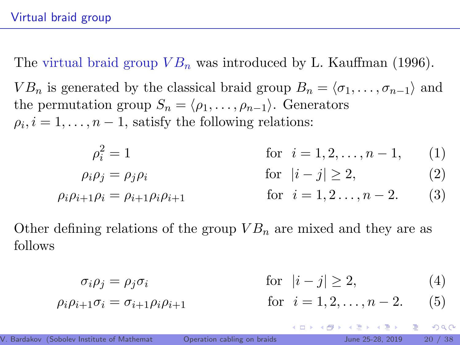The virtual braid group  $VB_n$  was introduced by L. Kauffman (1996).

 $VB_n$  is generated by the classical braid group  $B_n = \langle \sigma_1, \ldots, \sigma_{n-1} \rangle$  and the permutation group  $S_n = \langle \rho_1, \ldots, \rho_{n-1} \rangle$ . Generators  $\rho_i, i = 1, \ldots, n-1$ , satisfy the following relations:

$$
\rho_i^2 = 1 \qquad \text{for } i = 1, 2, \dots, n - 1,\qquad(1)
$$

$$
\rho_i \rho_j = \rho_j \rho_i \qquad \qquad \text{for} \quad |i - j| \ge 2,\tag{2}
$$

 $\rho_i \rho_{i+1} \rho_i = \rho_{i+1} \rho_i \rho_{i+1}$  for  $i = 1, 2, ..., n-2$ . (3)

Other defining relations of the group  $VB_n$  are mixed and they are as follows

$$
\sigma_i \rho_j = \rho_j \sigma_i \qquad \qquad \text{for} \quad |i - j| \ge 2,\tag{4}
$$

∢ □ ▶ ∢ n □ ▶

IN BINTA BIN

$$
\rho_i \rho_{i+1} \sigma_i = \sigma_{i+1} \rho_i \rho_{i+1}
$$
 for  $i = 1, 2, ..., n-2$ . (5)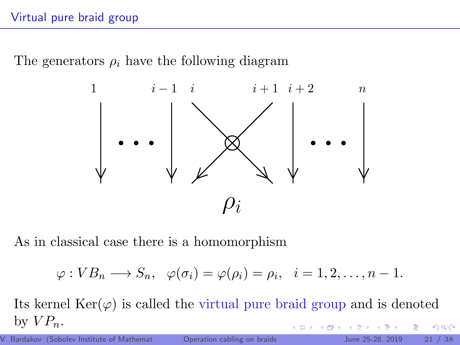### Virtual pure braid group

The generators  $\rho_i$  have the following diagram



As in classical case there is a homomorphism

$$
\varphi: VB_n \longrightarrow S_n, \quad \varphi(\sigma_i) = \varphi(\rho_i) = \rho_i, \quad i = 1, 2, \dots, n-1.
$$

Its kernel  $\text{Ker}(\varphi)$  is called the virtual pure braid group and is denoted by  $VP_n$ . 4 0 8  $2Q$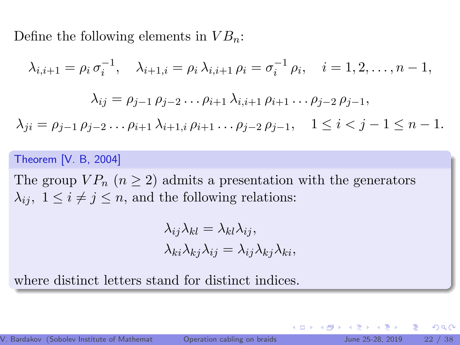Define the following elements in  $VB_n$ :

$$
\lambda_{i,i+1} = \rho_i \sigma_i^{-1}, \quad \lambda_{i+1,i} = \rho_i \lambda_{i,i+1} \rho_i = \sigma_i^{-1} \rho_i, \quad i = 1, 2, \dots, n-1,
$$

$$
\lambda_{ij} = \rho_{j-1} \rho_{j-2} \dots \rho_{i+1} \lambda_{i,i+1} \rho_{i+1} \dots \rho_{j-2} \rho_{j-1},
$$

$$
\lambda_{ji} = \rho_{j-1} \rho_{j-2} \dots \rho_{i+1} \lambda_{i+1,i} \rho_{i+1} \dots \rho_{j-2} \rho_{j-1}, \quad 1 \le i < j-1 \le n-1.
$$

#### Theorem [V. B, 2004]

The group  $VP_n$   $(n \geq 2)$  admits a presentation with the generators  $\lambda_{ij}, 1 \leq i \neq j \leq n$ , and the following relations:

$$
\lambda_{ij}\lambda_{kl} = \lambda_{kl}\lambda_{ij},
$$
  

$$
\lambda_{ki}\lambda_{kj}\lambda_{ij} = \lambda_{ij}\lambda_{kj}\lambda_{ki},
$$

where distinct letters stand for distinct indices.

4 0 8

つひひ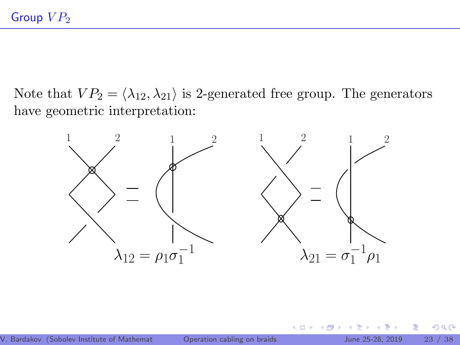Note that  $VP_2 = \langle \lambda_{12}, \lambda_{21} \rangle$  is 2-generated free group. The generators have geometric interpretation:



4 0 8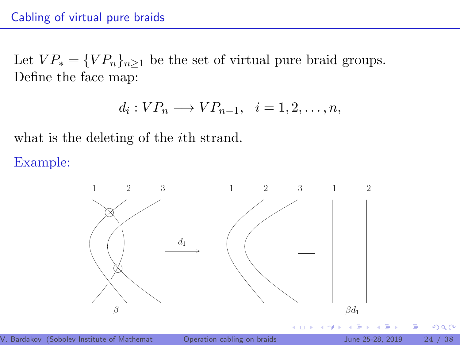Let  $VP_* = \{VP_n\}_{n\geq 1}$  be the set of virtual pure braid groups. Define the face map:

$$
d_i: VP_n \longrightarrow VP_{n-1}, \quad i=1,2,\ldots,n,
$$

what is the deleting of the *i*th strand.

Example:

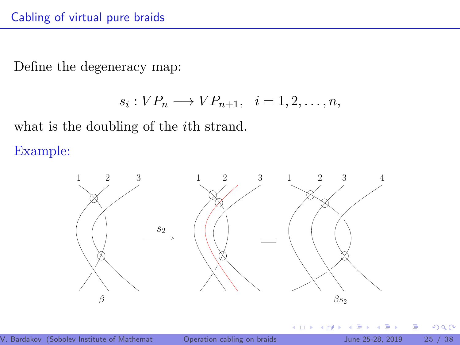Define the degeneracy map:

$$
s_i: VP_n \longrightarrow VP_{n+1}, \quad i=1,2,\ldots,n,
$$

what is the doubling of the *i*th strand.

Example:

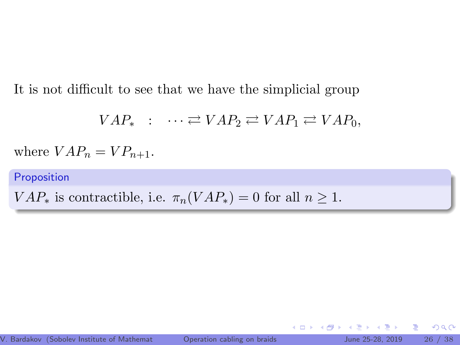It is not difficult to see that we have the simplicial group

 $VAP_* : \cdots \rightleftarrows VAP_2 \rightleftarrows VAP_1 \rightleftarrows VAP_0.$ 

where  $VAP_n = VP_{n+1}$ .

Proposition

 $VAR_*$  is contractible, i.e.  $\pi_n (VAR_*) = 0$  for all  $n \geq 1$ .

4 0 8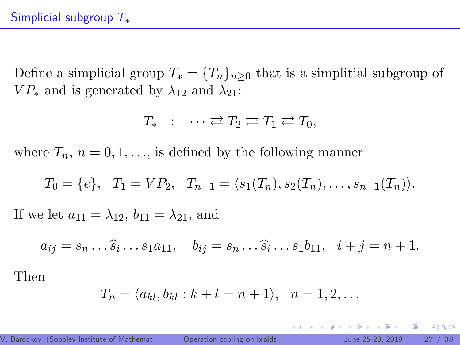Define a simplicial group  $T_* = {T_n}_{n\geq 0}$  that is a simplitial subgroup of  $VP_*$  and is generated by  $\lambda_{12}$  and  $\lambda_{21}$ :

$$
T_* \ : \ \cdots \rightleftarrows T_2 \rightleftarrows T_1 \rightleftarrows T_0,
$$

where  $T_n$ ,  $n = 0, 1, \ldots$ , is defined by the following manner

$$
T_0 = \{e\}, T_1 = VP_2, T_{n+1} = \langle s_1(T_n), s_2(T_n), \ldots, s_{n+1}(T_n) \rangle.
$$

If we let  $a_{11} = \lambda_{12}$ ,  $b_{11} = \lambda_{21}$ , and

$$
a_{ij} = s_n \dots \widehat{s}_i \dots s_1 a_{11}, \quad b_{ij} = s_n \dots \widehat{s}_i \dots s_1 b_{11}, \quad i + j = n + 1.
$$

Then

$$
T_n = \langle a_{kl}, b_{kl} : k+l = n+1 \rangle, \quad n = 1, 2, \dots
$$

 $\mathbf{A} = \mathbf{A}$  . The  $\mathbf{A}$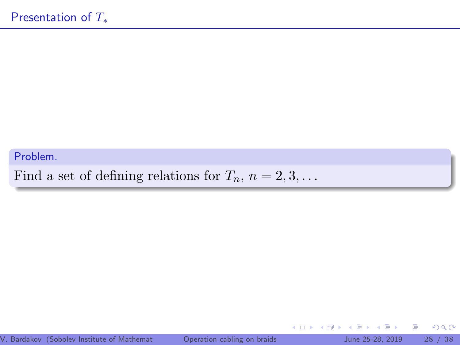#### Problem.

Find a set of defining relations for  $T_n$ ,  $n = 2, 3, \ldots$ 

4.000

 $\leftarrow$   $\leftarrow$   $\leftarrow$ 

∍  $\mathbf{p}$  $\mathcal{A}$  . ミッ 重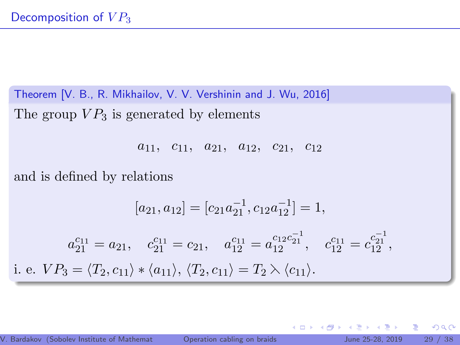Theorem [V. B., R. Mikhailov, V. V. Vershinin and J. Wu, 2016] The group  $VP_3$  is generated by elements

 $a_{11}$ ,  $c_{11}$ ,  $a_{21}$ ,  $a_{12}$ ,  $c_{21}$ ,  $c_{12}$ 

and is defined by relations

$$
[a_{21}, a_{12}] = [c_{21}a_{21}^{-1}, c_{12}a_{12}^{-1}] = 1,
$$
  
\n
$$
a_{21}^{c_{11}} = a_{21}, \quad c_{21}^{c_{11}} = c_{21}, \quad a_{12}^{c_{11}} = a_{12}^{c_{12}c_{21}^{-1}}, \quad c_{12}^{c_{11}} = c_{12}^{c_{21}^{-1}},
$$
  
\ni. e.  $VP_3 = \langle T_2, c_{11} \rangle * \langle a_{11} \rangle, \langle T_2, c_{11} \rangle = T_2 \rangle \langle c_{11} \rangle.$ 

4 0 8

重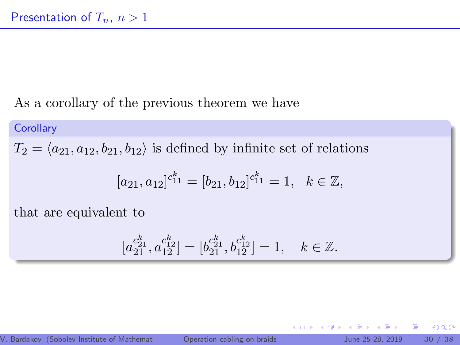### As a corollary of the previous theorem we have

#### **Corollary**

 $T_2 = \langle a_{21}, a_{12}, b_{21}, b_{12} \rangle$  is defined by infinite set of relations

$$
[a_{21}, a_{12}]^{c_{11}^k} = [b_{21}, b_{12}]^{c_{11}^k} = 1, \quad k \in \mathbb{Z},
$$

that are equivalent to

$$
[a_{21}^{c_{21}^k},a_{12}^{c_{12}^k}]=[b_{21}^{c_{21}^k},b_{12}^{c_{12}^k}]=1,\quad k\in\mathbb{Z}.
$$

4 0 8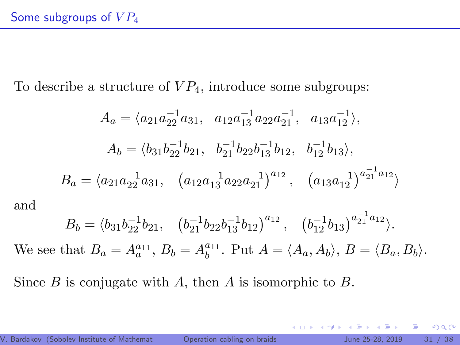To describe a structure of  $VP_4$ , introduce some subgroups:

$$
A_a = \langle a_{21}a_{22}^{-1}a_{31}, a_{12}a_{13}^{-1}a_{22}a_{21}^{-1}, a_{13}a_{12}^{-1} \rangle,
$$
  
\n
$$
A_b = \langle b_{31}b_{22}^{-1}b_{21}, b_{21}^{-1}b_{22}b_{13}^{-1}b_{12}, b_{12}^{-1}b_{13} \rangle,
$$
  
\n
$$
B_a = \langle a_{21}a_{22}^{-1}a_{31}, (a_{12}a_{13}^{-1}a_{22}a_{21}^{-1})^{a_{12}}, (a_{13}a_{12}^{-1})^{a_{21}^{-1}a_{12}} \rangle
$$

and

$$
B_b = \langle b_{31} b_{22}^{-1} b_{21}, (b_{21}^{-1} b_{22} b_{13}^{-1} b_{12})^{a_{12}}, (b_{12}^{-1} b_{13})^{a_{21}^{-1} a_{12}} \rangle.
$$

We see that  $B_a = A_a^{a_{11}}, B_b = A_b^{a_{11}}$ . Put  $A = \langle A_a, A_b \rangle, B = \langle B_a, B_b \rangle$ .

Since  $B$  is conjugate with  $A$ , then  $A$  is isomorphic to  $B$ .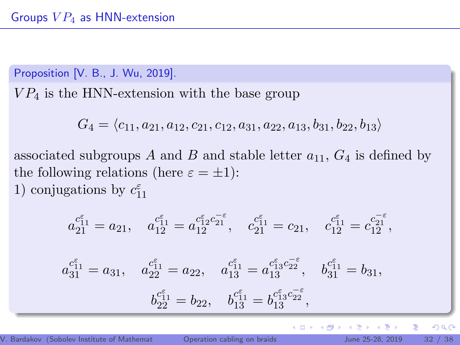Proposition [V. B., J. Wu, 2019].

 $VP<sub>4</sub>$  is the HNN-extension with the base group

$$
G_4 = \langle c_{11}, a_{21}, a_{12}, c_{21}, c_{12}, a_{31}, a_{22}, a_{13}, b_{31}, b_{22}, b_{13} \rangle
$$

associated subgroups A and B and stable letter  $a_{11}$ ,  $G_4$  is defined by the following relations (here  $\varepsilon = \pm 1$ ): 1) conjugations by  $c_{11}^{\varepsilon}$ 

$$
a_{21}^{c_{11}^{\varepsilon}} = a_{21}, \quad a_{12}^{c_{11}^{\varepsilon}} = a_{12}^{c_{12}^{\varepsilon} c_{21}^{-\varepsilon}}, \quad c_{21}^{c_{11}^{\varepsilon}} = c_{21}, \quad c_{12}^{c_{11}^{\varepsilon}} = c_{12}^{c_{21}^{-\varepsilon}},
$$

$$
\begin{aligned} a_{31}^{\epsilon_{11}^\epsilon}=a_{31},\quad a_{22}^{\epsilon_{11}^\epsilon}=a_{22},\quad a_{13}^{\epsilon_{11}^\epsilon}=a_{13}^{\epsilon_{13}^\epsilon c_{22}^{-\epsilon}},\quad b_{31}^{\epsilon_{11}^\epsilon}=b_{31},\\ b_{22}^{\epsilon_{11}^\epsilon}=b_{22},\quad b_{13}^{\epsilon_{11}^\epsilon}=b_{13}^{\epsilon_{13}^\epsilon c_{22}^{-\epsilon}}, \end{aligned}
$$

重

 $2Q$ 

 $\mathbf{p}$ 

∍

**←ロ ▶ → 伊 ▶**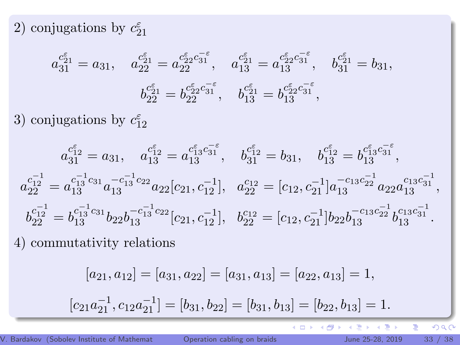2) conjugations by  $c_{21}^{\varepsilon}$ 

$$
\begin{aligned} a_{31}^{\varepsilon_{21}^\varepsilon}=a_{31},\quad a_{22}^{\varepsilon_{21}^\varepsilon}=a_{22}^{\varepsilon_{22}^\varepsilon c_{31}^{-\varepsilon}},\quad a_{13}^{\varepsilon_{21}^\varepsilon}=a_{13}^{\varepsilon_{22}^\varepsilon c_{31}^{-\varepsilon}},\quad b_{31}^{\varepsilon_{21}^\varepsilon}=b_{31},\\ b_{22}^{\varepsilon_{21}^\varepsilon}=b_{22}^{\varepsilon_{22}^\varepsilon c_{31}^{-\varepsilon}},\quad b_{13}^{\varepsilon_{21}^\varepsilon}=b_{13}^{\varepsilon_{22}^\varepsilon c_{31}^{-\varepsilon}}, \end{aligned}
$$

3) conjugations by  $c_{12}^{\varepsilon}$ 

$$
\begin{gathered} a^{c_{12}^{\varepsilon}}_{31}=a_{31},\quad a^{c_{12}^{\varepsilon}}_{13}=a^{c_{13}^{\varepsilon}c_{31}^{-\varepsilon}},\quad b^{c_{12}^{\varepsilon}}_{31}=b_{31},\quad b^{c_{12}^{\varepsilon}}_{13}=b^{c_{13}^{\varepsilon}c_{31}^{-\varepsilon}},\\ a^{c_{12}^{-1}}_{22}=a^{c_{13}^{-1}c_{31}}_{13}a^{-c_{13}^{-1}c_{22}}_{13}a_{22}[c_{21},c_{12}^{-1}],\quad a^{c_{12}}_{22}=[c_{12},c_{21}^{-1}]a^{-c_{13}c_{22}^{-1}}_{13}a_{22}a^{c_{13}c_{31}^{-1}}_{13},\\ b^{c_{12}^{-1}}_{22}=b^{c_{13}^{-1}c_{31}}_{13}b_{22}b^{-c_{13}^{-1}c_{22}}_{13}[c_{21},c^{-1}_{12}],\quad b^{c_{12}^{-1}}_{22}=[c_{12},c^{-1}_{21}]b_{22}b^{-c_{13}c_{21}^{-1}}_{13}b^{c_{13}c_{31}^{-1}}_{13}. \end{gathered}
$$

4) commutativity relations

$$
[a_{21}, a_{12}] = [a_{31}, a_{22}] = [a_{31}, a_{13}] = [a_{22}, a_{13}] = 1,
$$

$$
[c_{21}a_{21}^{-1}, c_{12}a_{21}^{-1}] = [b_{31}, b_{22}] = [b_{31}, b_{13}] = [b_{22}, b_{13}] = 1.
$$

ă

É Þ

 $\leftarrow$   $\Box$ 

 $\leftarrow$   $\oplus$   $\rightarrow$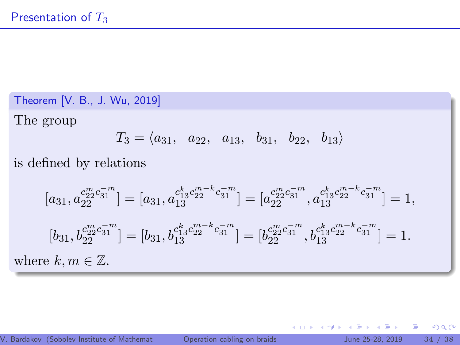Theorem [V. B., J. Wu, 2019]

The group

$$
T_3 = \langle a_{31}, a_{22}, a_{13}, b_{31}, b_{22}, b_{13} \rangle
$$

is defined by relations

$$
[a_{31}, a_{22}^{c_{23}^{m}c_{31}^{-m}}] = [a_{31}, a_{13}^{c_{13}^{k}c_{22}^{m-k}c_{31}^{-m}}] = [a_{22}^{c_{23}^{m}c_{31}^{-m}}, a_{13}^{c_{13}^{k}c_{22}^{m-k}c_{31}^{-m}}] = 1,
$$
  
\n
$$
[b_{31}, b_{22}^{c_{22}^{m}c_{31}^{-m}}] = [b_{31}, b_{13}^{c_{13}^{k}c_{22}^{m-k}c_{31}^{-m}}] = [b_{22}^{c_{23}^{m}c_{31}^{-m}}, b_{13}^{c_{13}^{k}c_{22}^{m-k}c_{31}^{-m}}] = 1.
$$
  
\nwhere  $k, m \in \mathbb{Z}$ .

4.0.3.

4 ଲ ⊧

∍ **B**  重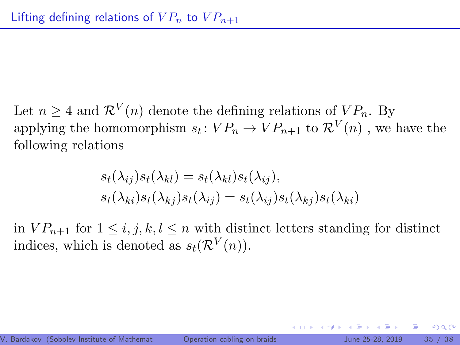Let  $n \geq 4$  and  $\mathcal{R}^V(n)$  denote the defining relations of  $VP_n$ . By applying the homomorphism  $s_t: VP_n \to VP_{n+1}$  to  $\mathcal{R}^V(n)$ , we have the following relations

$$
s_t(\lambda_{ij})s_t(\lambda_{kl}) = s_t(\lambda_{kl})s_t(\lambda_{ij}),
$$
  
\n
$$
s_t(\lambda_{ki})s_t(\lambda_{kj})s_t(\lambda_{ij}) = s_t(\lambda_{ij})s_t(\lambda_{kj})s_t(\lambda_{ki})
$$

in  $VP_{n+1}$  for  $1 \leq i, j, k, l \leq n$  with distinct letters standing for distinct indices, which is denoted as  $s_t(\mathcal{R}^V(n))$ .

 $\Omega$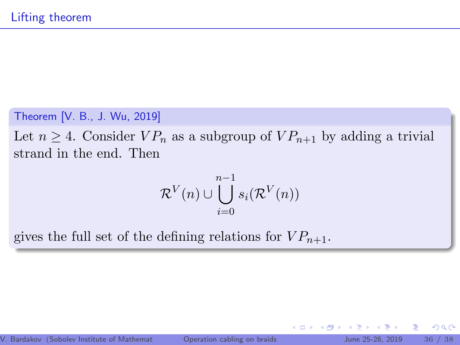#### Theorem [V. B., J. Wu, 2019]

Let  $n \geq 4$ . Consider  $VP_n$  as a subgroup of  $VP_{n+1}$  by adding a trivial strand in the end. Then

$$
\mathcal{R}^V(n) \cup \bigcup_{i=0}^{n-1} s_i(\mathcal{R}^V(n))
$$

gives the full set of the defining relations for  $VP_{n+1}$ .

4 0 8

 $2Q$ 

œ.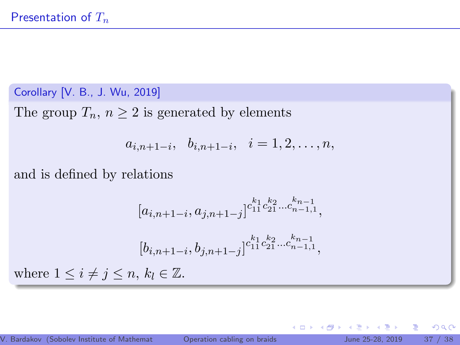Corollary [V. B., J. Wu, 2019]

The group  $T_n$ ,  $n \geq 2$  is generated by elements

$$
a_{i,n+1-i}, b_{i,n+1-i}, i = 1,2,\ldots,n,
$$

and is defined by relations

$$
[a_{i,n+1-i}, a_{j,n+1-j}]^{c_{11}^{k_1} c_{21}^{k_2} \dots c_{n-1,1}^{k_{n-1}},
$$

$$
[b_{i,n+1-i}, b_{j,n+1-j}]^{c_{11}^{k_1} c_{21}^{k_2} \dots c_{n-1,1}^{k_{n-1}},
$$

$$
1 \le i \ne j \le n, k_l \in \mathbb{Z}.
$$

where

4 0 8

4 ଲ ⊧

 $\mathbf{p}$ 

重